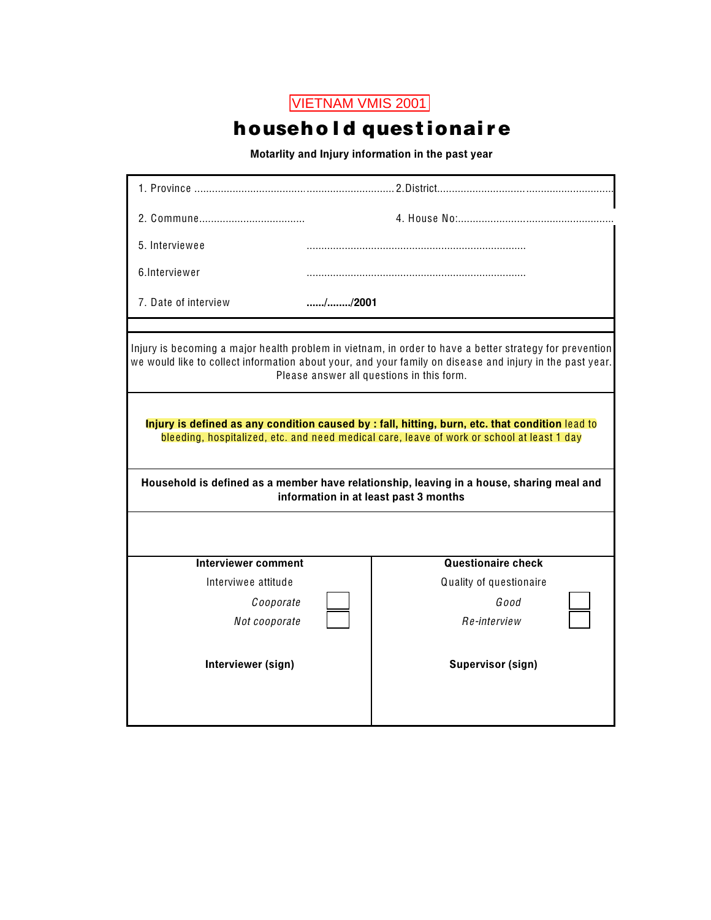## household questionaire

Motarlity and Injury information in the past year

| //2001                                                                                                                                                                                                                                                           |  |  |  |  |  |
|------------------------------------------------------------------------------------------------------------------------------------------------------------------------------------------------------------------------------------------------------------------|--|--|--|--|--|
|                                                                                                                                                                                                                                                                  |  |  |  |  |  |
| Injury is becoming a major health problem in vietnam, in order to have a better strategy for prevention<br>we would like to collect information about your, and your family on disease and injury in the past year.<br>Please answer all questions in this form. |  |  |  |  |  |
| Injury is defined as any condition caused by : fall, hitting, burn, etc. that condition lead to<br>bleeding, hospitalized, etc. and need medical care, leave of work or school at least 1 day                                                                    |  |  |  |  |  |
| Household is defined as a member have relationship, leaving in a house, sharing meal and<br>information in at least past 3 months                                                                                                                                |  |  |  |  |  |
|                                                                                                                                                                                                                                                                  |  |  |  |  |  |
| <b>Questionaire check</b>                                                                                                                                                                                                                                        |  |  |  |  |  |
| Quality of questionaire                                                                                                                                                                                                                                          |  |  |  |  |  |
| Good                                                                                                                                                                                                                                                             |  |  |  |  |  |
| Re-interview                                                                                                                                                                                                                                                     |  |  |  |  |  |
| <b>Supervisor (sign)</b>                                                                                                                                                                                                                                         |  |  |  |  |  |
|                                                                                                                                                                                                                                                                  |  |  |  |  |  |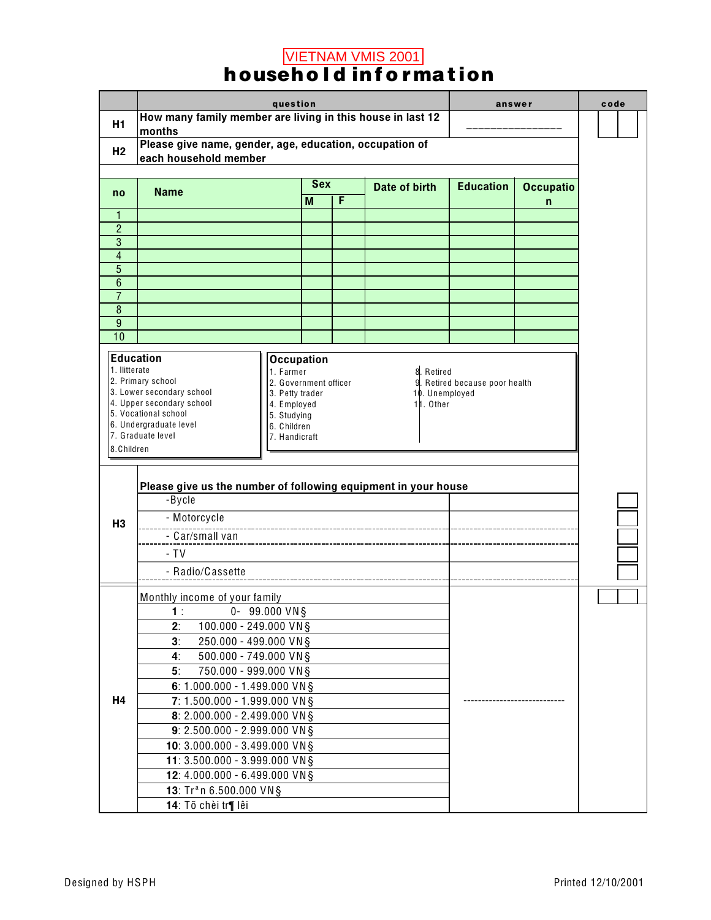# **METNAM VMIS 2001**<br>**household information**

|                     |                                                                                  | question                           |     |   |                |                                | answer           | code |
|---------------------|----------------------------------------------------------------------------------|------------------------------------|-----|---|----------------|--------------------------------|------------------|------|
| H1                  | How many family member are living in this house in last 12                       |                                    |     |   |                |                                |                  |      |
|                     | months                                                                           |                                    |     |   |                |                                |                  |      |
| H <sub>2</sub>      | Please give name, gender, age, education, occupation of<br>each household member |                                    |     |   |                |                                |                  |      |
|                     |                                                                                  |                                    |     |   |                |                                |                  |      |
| no                  | <b>Name</b>                                                                      |                                    | Sex |   | Date of birth  | <b>Education</b>               | <b>Occupatio</b> |      |
|                     |                                                                                  |                                    | M   | F |                |                                | n                |      |
| 1                   |                                                                                  |                                    |     |   |                |                                |                  |      |
| $\overline{2}$<br>3 |                                                                                  |                                    |     |   |                |                                |                  |      |
| $\overline{4}$      |                                                                                  |                                    |     |   |                |                                |                  |      |
| $\overline{5}$      |                                                                                  |                                    |     |   |                |                                |                  |      |
| $\overline{6}$      |                                                                                  |                                    |     |   |                |                                |                  |      |
| $\overline{7}$      |                                                                                  |                                    |     |   |                |                                |                  |      |
| 8<br>9              |                                                                                  |                                    |     |   |                |                                |                  |      |
| 10                  |                                                                                  |                                    |     |   |                |                                |                  |      |
|                     |                                                                                  |                                    |     |   |                |                                |                  |      |
| 1. Ilitterate       | <b>Education</b>                                                                 | <b>Occupation</b>                  |     |   |                |                                |                  |      |
|                     | 2. Primary school                                                                | 1. Farmer<br>2. Government officer |     |   | 8. Retired     | 9. Retired because poor health |                  |      |
|                     | 3. Lower secondary school                                                        | 3. Petty trader                    |     |   | 10. Unemployed |                                |                  |      |
|                     | 4. Upper secondary school<br>5. Vocational school                                | 4. Employed<br>5. Studying         |     |   | 11. Other      |                                |                  |      |
|                     | 6. Undergraduate level                                                           | 6. Children                        |     |   |                |                                |                  |      |
|                     | 7. Graduate level                                                                | 7. Handicraft                      |     |   |                |                                |                  |      |
| 8. Children         |                                                                                  |                                    |     |   |                |                                |                  |      |
|                     |                                                                                  |                                    |     |   |                |                                |                  |      |
|                     | Please give us the number of following equipment in your house                   |                                    |     |   |                |                                |                  |      |
|                     | -Bycle                                                                           |                                    |     |   |                |                                |                  |      |
| H <sub>3</sub>      | - Motorcycle                                                                     |                                    |     |   |                |                                |                  |      |
|                     | - Car/small van                                                                  |                                    |     |   |                |                                |                  |      |
|                     | $- TV$                                                                           |                                    |     |   |                |                                |                  |      |
|                     | - Radio/Cassette                                                                 |                                    |     |   |                |                                |                  |      |
|                     |                                                                                  |                                    |     |   |                |                                |                  |      |
|                     | Monthly income of your family                                                    |                                    |     |   |                |                                |                  |      |
|                     | $0 - 99.000$ VN §<br>1.                                                          |                                    |     |   |                |                                |                  |      |
|                     | 2.<br>100.000 - 249.000 VN §                                                     |                                    |     |   |                |                                |                  |      |
|                     | 3 <sub>1</sub><br>250.000 - 499.000 VN §                                         |                                    |     |   |                |                                |                  |      |
|                     | 4.<br>500.000 - 749.000 VN §                                                     |                                    |     |   |                |                                |                  |      |
|                     | 5 <sup>1</sup><br>750.000 - 999.000 VN §                                         |                                    |     |   |                |                                |                  |      |
|                     | 6: 1.000.000 - 1.499.000 VN§                                                     |                                    |     |   |                |                                |                  |      |
| H <sub>4</sub>      | 7: 1.500.000 - 1.999.000 VN§                                                     |                                    |     |   |                |                                |                  |      |
|                     | 8: 2.000.000 - 2.499.000 VN§                                                     |                                    |     |   |                |                                |                  |      |
|                     | 9: 2.500.000 - 2.999.000 VN §                                                    |                                    |     |   |                |                                |                  |      |
|                     | 10: 3.000.000 - 3.499.000 VN §                                                   |                                    |     |   |                |                                |                  |      |
|                     | 11: 3.500.000 - 3.999.000 VN §                                                   |                                    |     |   |                |                                |                  |      |
|                     | 12: 4.000.000 - 6.499.000 VN §                                                   |                                    |     |   |                |                                |                  |      |
|                     | 13: Tr <sup>a</sup> n 6.500.000 VN§                                              |                                    |     |   |                |                                |                  |      |
|                     | 14: Tõ chèi tr¶ lêi                                                              |                                    |     |   |                |                                |                  |      |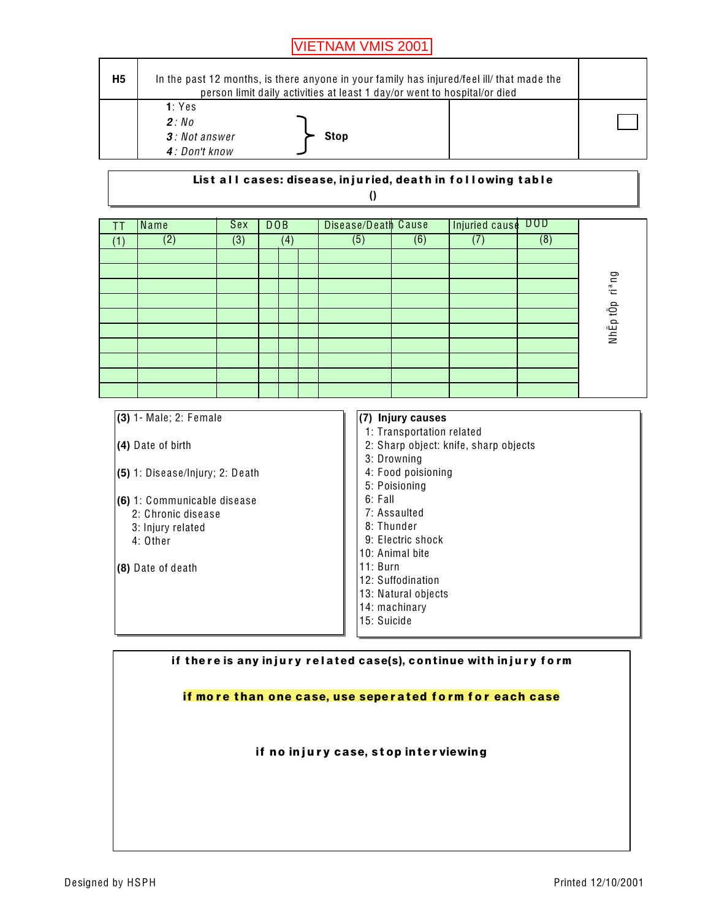| H <sub>5</sub> | In the past 12 months, is there anyone in your family has injured/feel ill/ that made the<br>person limit daily activities at least 1 day/or went to hospital/or died |  |
|----------------|-----------------------------------------------------------------------------------------------------------------------------------------------------------------------|--|
|                | 1: Yes<br>2:N <sub>0</sub><br>3: Not answer<br><b>Stop</b><br>4: Don't know                                                                                           |  |

#### List all cases: disease, injuried, death in following table  $\theta$

| ΤT  | Name           | Sex | DOB |     | Disease/Death Cause |     | Injuried cause DOD |     |                    |
|-----|----------------|-----|-----|-----|---------------------|-----|--------------------|-----|--------------------|
| (1) | $\overline{2}$ | (3) |     | (4) | (5)                 | (6) |                    | (8) |                    |
|     |                |     |     |     |                     |     |                    |     |                    |
|     |                |     |     |     |                     |     |                    |     |                    |
|     |                |     |     |     |                     |     |                    |     | ri <sup>a</sup> ng |
|     |                |     |     |     |                     |     |                    |     |                    |
|     |                |     |     |     |                     |     |                    |     |                    |
|     |                |     |     |     |                     |     |                    |     | NhĚp tÔp           |
|     |                |     |     |     |                     |     |                    |     |                    |
|     |                |     |     |     |                     |     |                    |     |                    |
|     |                |     |     |     |                     |     |                    |     |                    |
|     |                |     |     |     |                     |     |                    |     |                    |

| $(3)$ 1- Male; 2: Female          | (7) Injury causes                     |
|-----------------------------------|---------------------------------------|
|                                   | 1: Transportation related             |
| $(4)$ Date of birth               | 2: Sharp object: knife, sharp objects |
|                                   | 3: Drowning                           |
| $(5)$ 1: Disease/Injury; 2: Death | 4: Food poisioning                    |
|                                   | 5: Poisioning                         |
| (6) 1: Communicable disease       | 6: Fall                               |
| 2: Chronic disease                | 7: Assaulted                          |
| 3: Injury related                 | 8: Thunder                            |
| 4: Other                          | 9: Electric shock                     |
|                                   | 10: Animal bite                       |
| (8) Date of death                 | $11:$ Burn                            |
|                                   | 12: Suffodination                     |
|                                   | 13: Natural objects                   |
|                                   | 14: machinary                         |
|                                   | 15: Suicide                           |
|                                   |                                       |

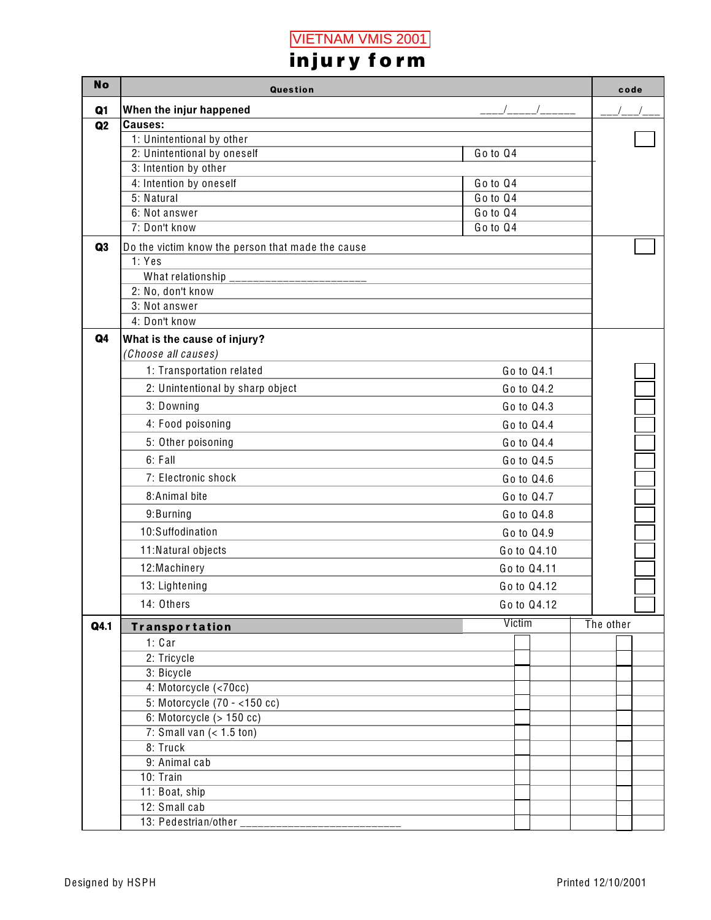|                | injury form                                          |          |        |             |           |      |  |
|----------------|------------------------------------------------------|----------|--------|-------------|-----------|------|--|
| <b>No</b>      | Question                                             |          |        |             |           | code |  |
| Q <sub>1</sub> | When the injur happened                              |          |        |             |           |      |  |
| Q2             | <b>Causes:</b>                                       |          |        |             |           |      |  |
|                | 1: Unintentional by other                            |          |        |             |           |      |  |
|                | 2: Unintentional by oneself<br>3: Intention by other | Go to Q4 |        |             |           |      |  |
|                | 4: Intention by oneself                              | Go to Q4 |        |             |           |      |  |
|                | 5: Natural                                           | Go to Q4 |        |             |           |      |  |
|                | 6: Not answer                                        | Go to Q4 |        |             |           |      |  |
|                | 7: Don't know                                        | Go to Q4 |        |             |           |      |  |
| Q3             | Do the victim know the person that made the cause    |          |        |             |           |      |  |
|                | 1: Yes                                               |          |        |             |           |      |  |
|                | What relationship                                    |          |        |             |           |      |  |
|                | 2: No, don't know                                    |          |        |             |           |      |  |
|                | 3: Not answer                                        |          |        |             |           |      |  |
|                | 4: Don't know                                        |          |        |             |           |      |  |
| Q4             | What is the cause of injury?                         |          |        |             |           |      |  |
|                | (Choose all causes)                                  |          |        |             |           |      |  |
|                | 1: Transportation related                            |          |        | Go to Q4.1  |           |      |  |
|                | 2: Unintentional by sharp object                     |          |        | Go to Q4.2  |           |      |  |
|                | 3: Downing                                           |          |        | Go to Q4.3  |           |      |  |
|                | 4: Food poisoning                                    |          |        | Go to Q4.4  |           |      |  |
|                | 5: Other poisoning                                   |          |        | Go to Q4.4  |           |      |  |
|                | 6: Fall                                              |          |        | Go to Q4.5  |           |      |  |
|                | 7: Electronic shock                                  |          |        | Go to Q4.6  |           |      |  |
|                | 8:Animal bite                                        |          |        | Go to Q4.7  |           |      |  |
|                | 9:Burning                                            |          |        | Go to Q4.8  |           |      |  |
|                | 10:Suffodination                                     |          |        | Go to Q4.9  |           |      |  |
|                | 11: Natural objects                                  |          |        | Go to Q4.10 |           |      |  |
|                | 12: Machinery                                        |          |        | Go to Q4.11 |           |      |  |
|                | 13: Lightening                                       |          |        | Go to Q4.12 |           |      |  |
|                | 14: Others                                           |          |        | Go to Q4.12 |           |      |  |
|                |                                                      |          | Victim |             | The other |      |  |
| Q4.1           | <b>Transportation</b>                                |          |        |             |           |      |  |
|                | 1: Car<br>2: Tricycle                                |          |        |             |           |      |  |
|                | 3: Bicycle                                           |          |        |             |           |      |  |
|                | 4: Motorcycle (<70cc)                                |          |        |             |           |      |  |
|                | 5: Motorcycle $(70 - 150$ cc)                        |          |        |             |           |      |  |
|                | 6: Motorcycle $($ > 150 cc)                          |          |        |             |           |      |  |
|                | 7: Small van $(1.5 ton)$                             |          |        |             |           |      |  |
|                | 8: Truck                                             |          |        |             |           |      |  |
|                | 9: Animal cab                                        |          |        |             |           |      |  |
|                | 10: Train                                            |          |        |             |           |      |  |
|                | 11: Boat, ship                                       |          |        |             |           |      |  |
|                | 12: Small cab                                        |          |        |             |           |      |  |
|                | 13: Pedestrian/other _______________________         |          |        |             |           |      |  |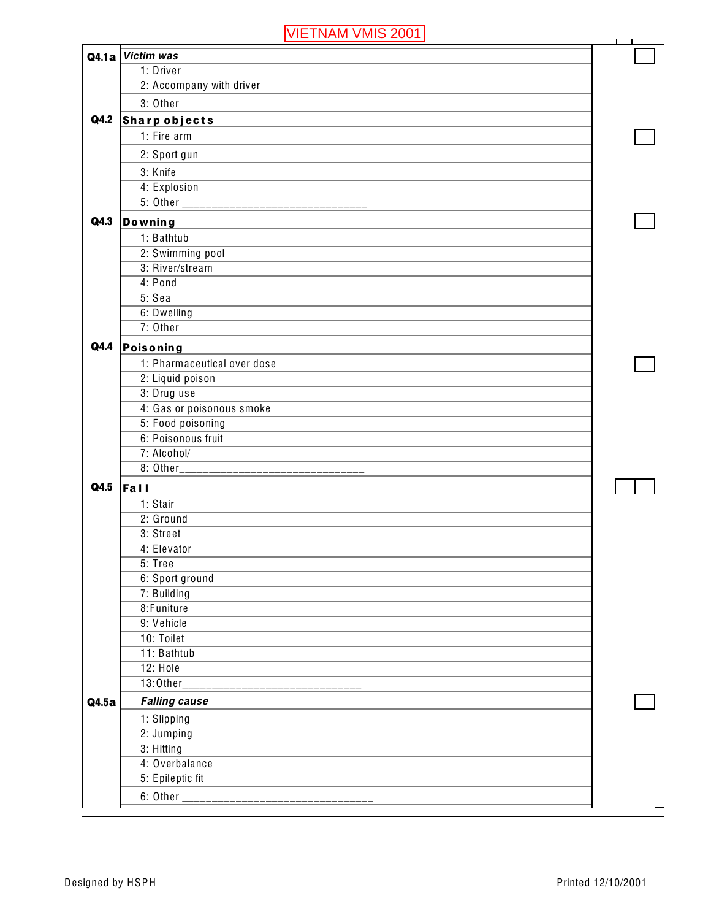|       | . <u>.</u>                                             |  |
|-------|--------------------------------------------------------|--|
|       | Q4.1a Victim was                                       |  |
|       | 1: Driver                                              |  |
|       | 2: Accompany with driver                               |  |
|       | 3: Other                                               |  |
| Q4.2  | <b>Sharp objects</b>                                   |  |
|       | 1: Fire arm                                            |  |
|       |                                                        |  |
|       | 2: Sport gun                                           |  |
|       | 3: Knife                                               |  |
|       | 4: Explosion                                           |  |
|       | 5: Other _______ <del>__________________________</del> |  |
| Q4.3  | <b>Downing</b>                                         |  |
|       | 1: Bathtub                                             |  |
|       | 2: Swimming pool                                       |  |
|       | 3: River/stream                                        |  |
|       | 4: Pond                                                |  |
|       | 5: Sea                                                 |  |
|       | 6: Dwelling                                            |  |
|       | 7: Other                                               |  |
| Q4.4  | Poisoning                                              |  |
|       | 1: Pharmaceutical over dose                            |  |
|       | 2: Liquid poison                                       |  |
|       | 3: Drug use                                            |  |
|       | 4: Gas or poisonous smoke                              |  |
|       | 5: Food poisoning                                      |  |
|       | 6: Poisonous fruit                                     |  |
|       | 7: Alcohol/                                            |  |
|       | 8: Other___________ <del>_________________</del>       |  |
| Q4.5  | Fall                                                   |  |
|       | 1: Stair                                               |  |
|       | 2: Ground                                              |  |
|       | 3: Street                                              |  |
|       | 4: Elevator                                            |  |
|       | 5: Tree                                                |  |
|       | 6: Sport ground                                        |  |
|       | 7: Building                                            |  |
|       | 8: Funiture                                            |  |
|       | 9: Vehicle                                             |  |
|       | 10: Toilet                                             |  |
|       | 11: Bathtub                                            |  |
|       | 12: Hole                                               |  |
|       | 13:0ther_____________________                          |  |
| Q4.5a | <b>Falling cause</b>                                   |  |
|       |                                                        |  |
|       | 1: Slipping                                            |  |
|       | 2: Jumping                                             |  |
|       | 3: Hitting                                             |  |
|       | 4: Overbalance                                         |  |
|       | 5: Epileptic fit                                       |  |
|       |                                                        |  |
|       |                                                        |  |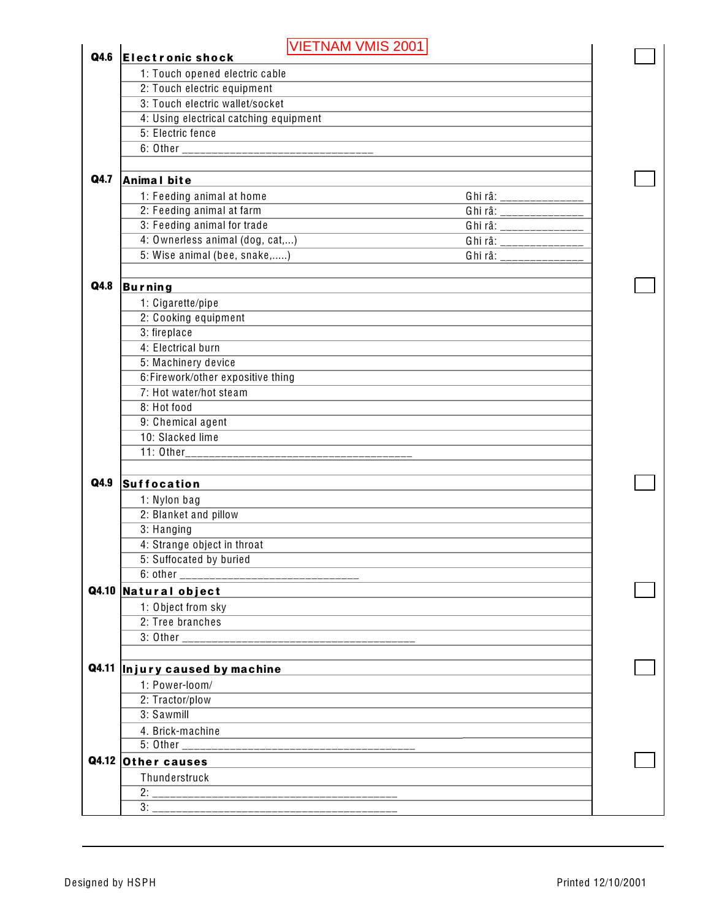| Q4.6  | VIETNAM VMIS 2001                                                                                                                  |  |
|-------|------------------------------------------------------------------------------------------------------------------------------------|--|
|       | <b>Electronic shock</b>                                                                                                            |  |
|       | 1: Touch opened electric cable                                                                                                     |  |
|       | 2: Touch electric equipment<br>3: Touch electric wallet/socket                                                                     |  |
|       |                                                                                                                                    |  |
|       | 4: Using electrical catching equipment<br>5: Electric fence                                                                        |  |
|       |                                                                                                                                    |  |
|       |                                                                                                                                    |  |
| Q4.7  | <b>Animal bite</b>                                                                                                                 |  |
|       | 1: Feeding animal at home<br>Ghi râ: _______________                                                                               |  |
|       | 2: Feeding animal at farm<br>Ghi râ: ________________                                                                              |  |
|       | 3: Feeding animal for trade<br>Ghi râ: ________________                                                                            |  |
|       | 4: Ownerless animal (dog, cat,)                                                                                                    |  |
|       | 5: Wise animal (bee, snake,)<br>Ghi râ: ________________                                                                           |  |
|       |                                                                                                                                    |  |
| Q4.8  | <b>Burning</b><br>and the control of the control of the control of the control of the control of the control of the control of the |  |
|       | 1: Cigarette/pipe                                                                                                                  |  |
|       | 2: Cooking equipment                                                                                                               |  |
|       | 3: fireplace                                                                                                                       |  |
|       | 4: Electrical burn                                                                                                                 |  |
|       | 5: Machinery device                                                                                                                |  |
|       | 6:Firework/other expositive thing                                                                                                  |  |
|       | 7: Hot water/hot steam                                                                                                             |  |
|       | 8: Hot food                                                                                                                        |  |
|       | 9: Chemical agent                                                                                                                  |  |
|       | 10: Slacked lime                                                                                                                   |  |
|       |                                                                                                                                    |  |
|       |                                                                                                                                    |  |
| Q4.9  | <b>Suffocation</b>                                                                                                                 |  |
|       | 1: Nylon bag                                                                                                                       |  |
|       | 2: Blanket and pillow                                                                                                              |  |
|       | 3: Hanging                                                                                                                         |  |
|       | 4: Strange object in throat                                                                                                        |  |
|       | 5: Suffocated by buried                                                                                                            |  |
|       | $6:$ other $\_$                                                                                                                    |  |
| Q4.10 | Natural object                                                                                                                     |  |
|       | 1: Object from sky                                                                                                                 |  |
|       | 2: Tree branches                                                                                                                   |  |
|       |                                                                                                                                    |  |
|       |                                                                                                                                    |  |
|       | Q4.11  Injury caused by machine                                                                                                    |  |
|       | 1: Power-loom/                                                                                                                     |  |
|       | 2: Tractor/plow                                                                                                                    |  |
|       | 3: Sawmill                                                                                                                         |  |
|       | 4. Brick-machine                                                                                                                   |  |
|       |                                                                                                                                    |  |
|       | Q4.12 Other causes                                                                                                                 |  |
|       | Thunderstruck                                                                                                                      |  |
|       | 2:<br>_________________                                                                                                            |  |
|       | 3:                                                                                                                                 |  |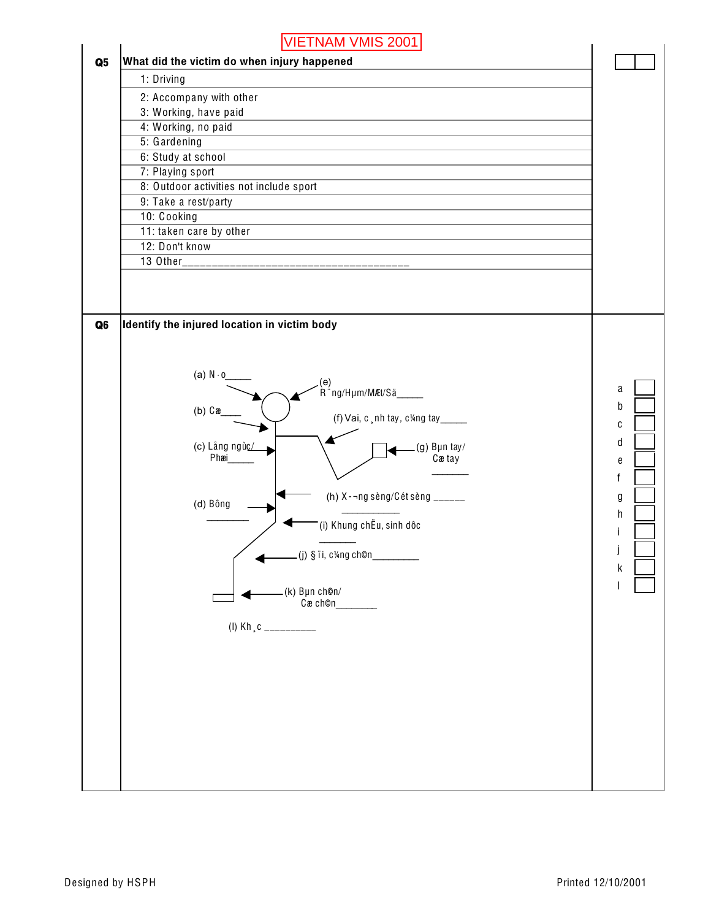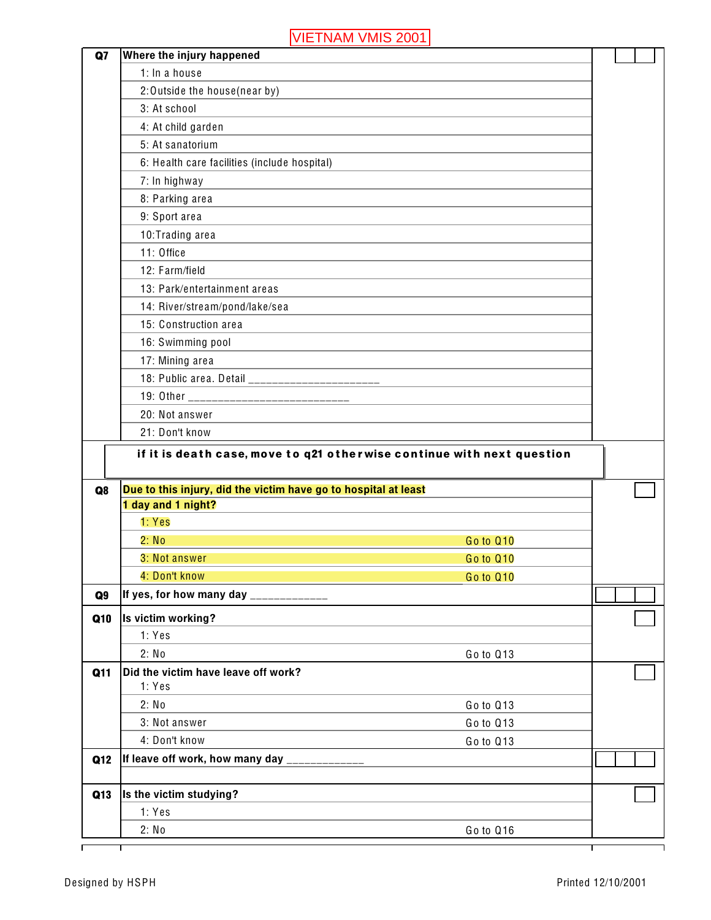| Q7             | Where the injury happened                                              |           |  |
|----------------|------------------------------------------------------------------------|-----------|--|
|                | 1: In a house                                                          |           |  |
|                | 2:0 utside the house(near by)                                          |           |  |
|                | 3: At school                                                           |           |  |
|                | 4: At child garden                                                     |           |  |
|                | 5: At sanatorium                                                       |           |  |
|                | 6: Health care facilities (include hospital)                           |           |  |
|                | 7: In highway                                                          |           |  |
|                | 8: Parking area                                                        |           |  |
|                | 9: Sport area                                                          |           |  |
|                | 10: Trading area                                                       |           |  |
|                | 11: Office                                                             |           |  |
|                | 12: Farm/field                                                         |           |  |
|                | 13: Park/entertainment areas                                           |           |  |
|                | 14: River/stream/pond/lake/sea                                         |           |  |
|                | 15: Construction area                                                  |           |  |
|                | 16: Swimming pool                                                      |           |  |
|                | 17: Mining area                                                        |           |  |
|                |                                                                        |           |  |
|                |                                                                        |           |  |
|                | 20: Not answer                                                         |           |  |
|                | 21: Don't know                                                         |           |  |
|                | if it is death case, move to q21 otherwise continue with next question |           |  |
| Q <sub>8</sub> | Due to this injury, did the victim have go to hospital at least        |           |  |
|                | 1 day and 1 night?                                                     |           |  |
|                | 1: Yes                                                                 |           |  |
|                | 2: No                                                                  | Go to Q10 |  |
|                | 3: Not answer                                                          | Go to Q10 |  |
|                | 4: Don't know                                                          | Go to Q10 |  |
| Q <sub>9</sub> | If yes, for how many day _____________                                 |           |  |
| Q10            | Is victim working?                                                     |           |  |
|                | 1: Yes                                                                 |           |  |
|                | 2: No                                                                  | Go to Q13 |  |
| Q11            | Did the victim have leave off work?                                    |           |  |
|                | 1: Yes                                                                 |           |  |
|                | 2: No                                                                  | Go to Q13 |  |
|                | 3: Not answer                                                          | Go to Q13 |  |
|                |                                                                        |           |  |
|                | 4: Don't know                                                          | Go to Q13 |  |
| Q12            |                                                                        |           |  |
| Q13            | Is the victim studying?                                                |           |  |
|                | 1: Yes                                                                 |           |  |
|                | 2: No                                                                  | Go to Q16 |  |

٦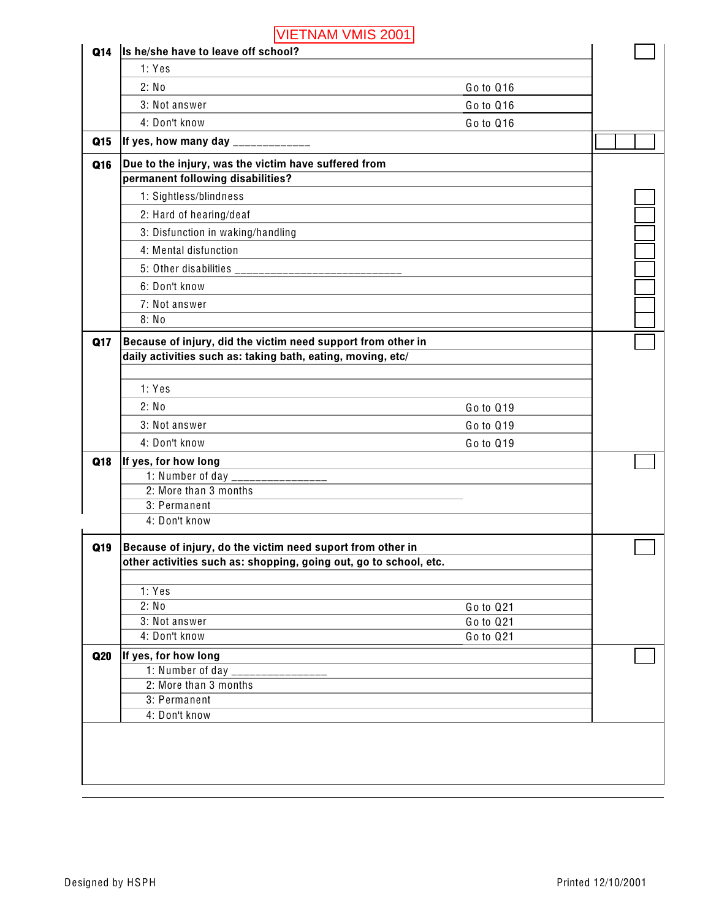| Q14 | VIETNAM VMIS 2001 <br>Is he/she have to leave off school?         |           |  |
|-----|-------------------------------------------------------------------|-----------|--|
|     | 1: Yes                                                            |           |  |
|     | 2: No                                                             | Go to Q16 |  |
|     | 3: Not answer                                                     | Go to Q16 |  |
|     | 4: Don't know                                                     | Go to Q16 |  |
| Q15 | If yes, how many day _____________                                |           |  |
| Q16 | Due to the injury, was the victim have suffered from              |           |  |
|     | permanent following disabilities?                                 |           |  |
|     | 1: Sightless/blindness                                            |           |  |
|     | 2: Hard of hearing/deaf                                           |           |  |
|     | 3: Disfunction in waking/handling                                 |           |  |
|     | 4: Mental disfunction                                             |           |  |
|     |                                                                   |           |  |
|     |                                                                   |           |  |
|     | 6: Don't know                                                     |           |  |
|     | 7: Not answer<br>8: No                                            |           |  |
|     |                                                                   |           |  |
| Q17 | Because of injury, did the victim need support from other in      |           |  |
|     | daily activities such as: taking bath, eating, moving, etc/       |           |  |
|     | 1: Yes                                                            |           |  |
|     | 2: No                                                             | Go to Q19 |  |
|     | 3: Not answer                                                     | Go to Q19 |  |
|     | 4: Don't know                                                     | Go to Q19 |  |
| Q18 | If yes, for how long                                              |           |  |
|     |                                                                   |           |  |
|     | 2: More than 3 months                                             |           |  |
|     | 3: Permanent<br>4: Don't know                                     |           |  |
|     |                                                                   |           |  |
| Q19 | Because of injury, do the victim need suport from other in        |           |  |
|     | other activities such as: shopping, going out, go to school, etc. |           |  |
|     | 1: Yes                                                            |           |  |
|     | 2: No                                                             | Go to Q21 |  |
|     | 3: Not answer                                                     | Go to Q21 |  |
|     | 4: Don't know                                                     | Go to Q21 |  |
| Q20 | If yes, for how long                                              |           |  |
|     | 1: Number of day                                                  |           |  |
|     | 2: More than 3 months                                             |           |  |
|     |                                                                   |           |  |
|     | 3: Permanent<br>4: Don't know                                     |           |  |